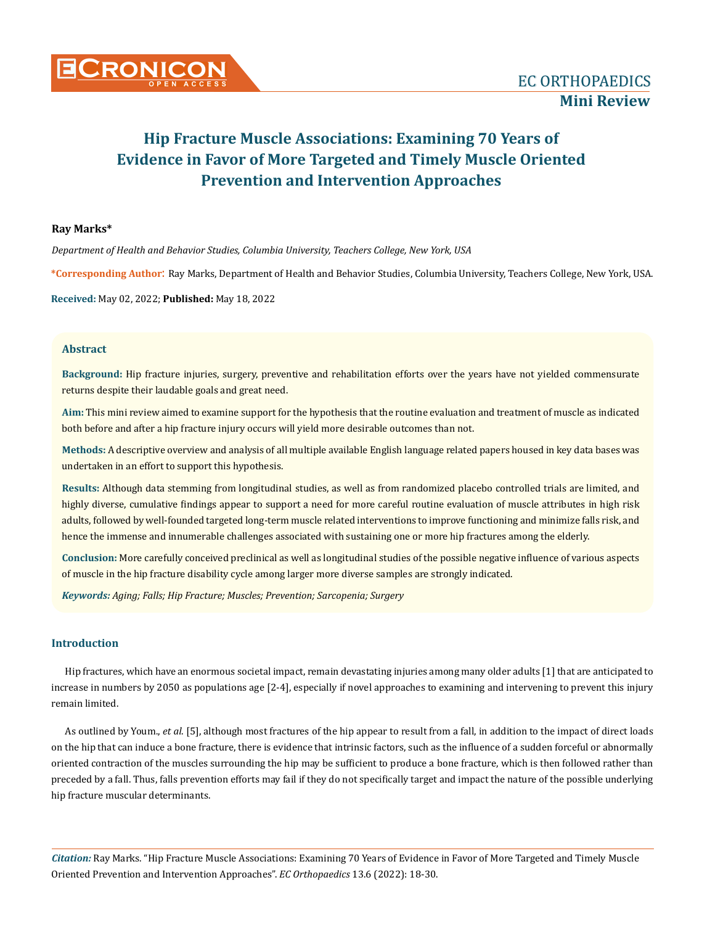

#### **Ray Marks\***

*Department of Health and Behavior Studies, Columbia University, Teachers College, New York, USA*

**\*Corresponding Author**: Ray Marks, Department of Health and Behavior Studies, Columbia University, Teachers College, New York, USA.

**Received:** May 02, 2022; **Published:** May 18, 2022

#### **Abstract**

**Background:** Hip fracture injuries, surgery, preventive and rehabilitation efforts over the years have not yielded commensurate returns despite their laudable goals and great need.

**Aim:** This mini review aimed to examine support for the hypothesis that the routine evaluation and treatment of muscle as indicated both before and after a hip fracture injury occurs will yield more desirable outcomes than not.

**Methods:** A descriptive overview and analysis of all multiple available English language related papers housed in key data bases was undertaken in an effort to support this hypothesis.

**Results:** Although data stemming from longitudinal studies, as well as from randomized placebo controlled trials are limited, and highly diverse, cumulative findings appear to support a need for more careful routine evaluation of muscle attributes in high risk adults, followed by well-founded targeted long-term muscle related interventions to improve functioning and minimize falls risk, and hence the immense and innumerable challenges associated with sustaining one or more hip fractures among the elderly.

**Conclusion:** More carefully conceived preclinical as well as longitudinal studies of the possible negative influence of various aspects of muscle in the hip fracture disability cycle among larger more diverse samples are strongly indicated.

*Keywords: Aging; Falls; Hip Fracture; Muscles; Prevention; Sarcopenia; Surgery* 

#### **Introduction**

Hip fractures, which have an enormous societal impact, remain devastating injuries among many older adults [1] that are anticipated to increase in numbers by 2050 as populations age [2-4], especially if novel approaches to examining and intervening to prevent this injury remain limited.

As outlined by Youm., *et al*. [5], although most fractures of the hip appear to result from a fall, in addition to the impact of direct loads on the hip that can induce a bone fracture, there is evidence that intrinsic factors, such as the influence of a sudden forceful or abnormally oriented contraction of the muscles surrounding the hip may be sufficient to produce a bone fracture, which is then followed rather than preceded by a fall. Thus, falls prevention efforts may fail if they do not specifically target and impact the nature of the possible underlying hip fracture muscular determinants.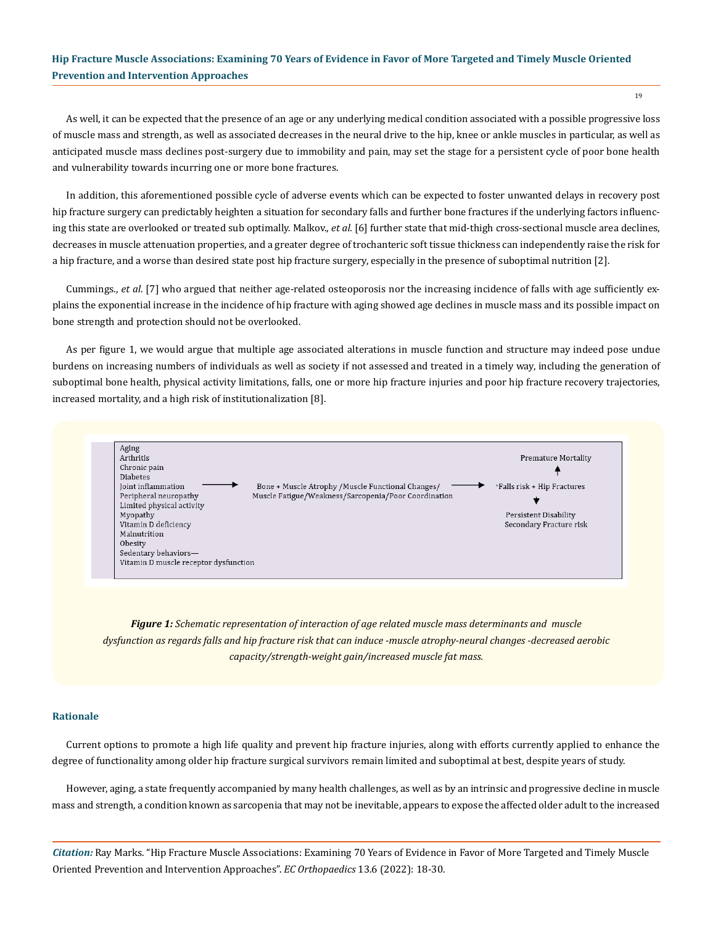As well, it can be expected that the presence of an age or any underlying medical condition associated with a possible progressive loss of muscle mass and strength, as well as associated decreases in the neural drive to the hip, knee or ankle muscles in particular, as well as anticipated muscle mass declines post-surgery due to immobility and pain, may set the stage for a persistent cycle of poor bone health and vulnerability towards incurring one or more bone fractures.

In addition, this aforementioned possible cycle of adverse events which can be expected to foster unwanted delays in recovery post hip fracture surgery can predictably heighten a situation for secondary falls and further bone fractures if the underlying factors influencing this state are overlooked or treated sub optimally. Malkov., *et al.* [6] further state that mid-thigh cross-sectional muscle area declines, decreases in muscle attenuation properties, and a greater degree of trochanteric soft tissue thickness can independently raise the risk for a hip fracture, and a worse than desired state post hip fracture surgery, especially in the presence of suboptimal nutrition [2].

Cummings., *et al*. [7] who argued that neither age-related osteoporosis nor the increasing incidence of falls with age sufficiently explains the exponential increase in the incidence of hip fracture with aging showed age declines in muscle mass and its possible impact on bone strength and protection should not be overlooked.

As per figure 1, we would argue that multiple age associated alterations in muscle function and structure may indeed pose undue burdens on increasing numbers of individuals as well as society if not assessed and treated in a timely way, including the generation of suboptimal bone health, physical activity limitations, falls, one or more hip fracture injuries and poor hip fracture recovery trajectories, increased mortality, and a high risk of institutionalization [8].



*Figure 1: Schematic representation of interaction of age related muscle mass determinants and muscle dysfunction as regards falls and hip fracture risk that can induce -muscle atrophy-neural changes -decreased aerobic capacity/strength-weight gain/increased muscle fat mass.*

#### **Rationale**

Current options to promote a high life quality and prevent hip fracture injuries, along with efforts currently applied to enhance the degree of functionality among older hip fracture surgical survivors remain limited and suboptimal at best, despite years of study.

However, aging, a state frequently accompanied by many health challenges, as well as by an intrinsic and progressive decline in muscle mass and strength, a condition known as sarcopenia that may not be inevitable, appears to expose the affected older adult to the increased

*Citation:* Ray Marks. "Hip Fracture Muscle Associations: Examining 70 Years of Evidence in Favor of More Targeted and Timely Muscle Oriented Prevention and Intervention Approaches". *EC Orthopaedics* 13.6 (2022): 18-30.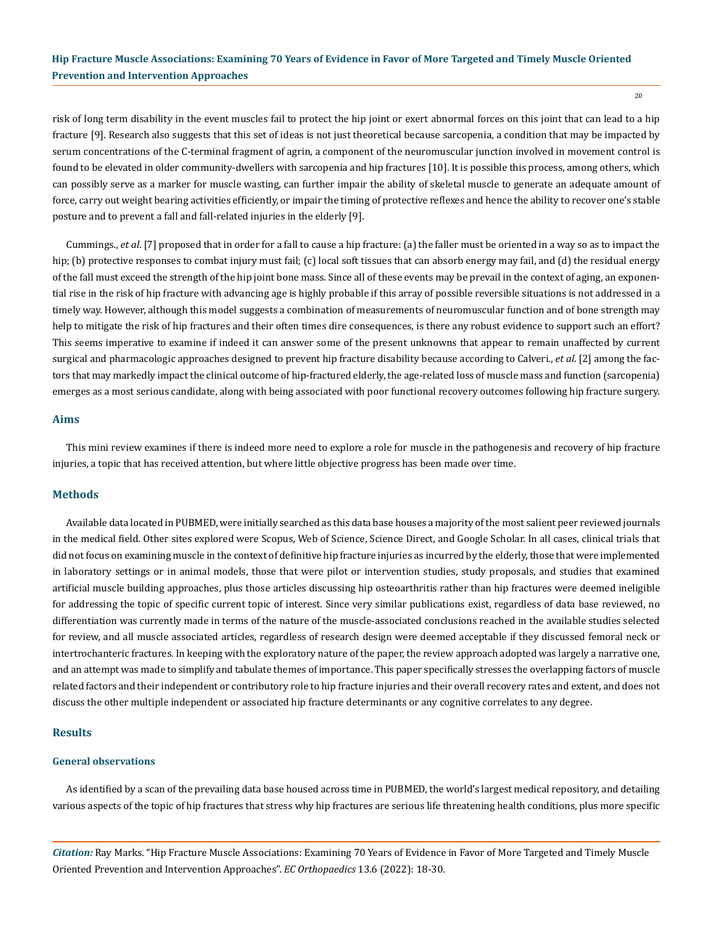risk of long term disability in the event muscles fail to protect the hip joint or exert abnormal forces on this joint that can lead to a hip fracture [9]. Research also suggests that this set of ideas is not just theoretical because sarcopenia, a condition that may be impacted by serum concentrations of the C-terminal fragment of agrin, a component of the neuromuscular junction involved in movement control is found to be elevated in older community-dwellers with sarcopenia and hip fractures [10]. It is possible this process, among others, which can possibly serve as a marker for muscle wasting, can further impair the ability of skeletal muscle to generate an adequate amount of force, carry out weight bearing activities efficiently, or impair the timing of protective reflexes and hence the ability to recover one's stable posture and to prevent a fall and fall-related injuries in the elderly [9].

Cummings., *et al*. [7] proposed that in order for a fall to cause a hip fracture: (a) the faller must be oriented in a way so as to impact the hip; (b) protective responses to combat injury must fail; (c) local soft tissues that can absorb energy may fail, and (d) the residual energy of the fall must exceed the strength of the hip joint bone mass. Since all of these events may be prevail in the context of aging, an exponential rise in the risk of hip fracture with advancing age is highly probable if this array of possible reversible situations is not addressed in a timely way. However, although this model suggests a combination of measurements of neuromuscular function and of bone strength may help to mitigate the risk of hip fractures and their often times dire consequences, is there any robust evidence to support such an effort? This seems imperative to examine if indeed it can answer some of the present unknowns that appear to remain unaffected by current surgical and pharmacologic approaches designed to prevent hip fracture disability because according to Calveri., *et al*. [2] among the factors that may markedly impact the clinical outcome of hip-fractured elderly, the age-related loss of muscle mass and function (sarcopenia) emerges as a most serious candidate, along with being associated with poor functional recovery outcomes following hip fracture surgery.

#### **Aims**

This mini review examines if there is indeed more need to explore a role for muscle in the pathogenesis and recovery of hip fracture injuries, a topic that has received attention, but where little objective progress has been made over time.

#### **Methods**

Available data located in PUBMED, were initially searched as this data base houses a majority of the most salient peer reviewed journals in the medical field. Other sites explored were Scopus, Web of Science, Science Direct, and Google Scholar. In all cases, clinical trials that did not focus on examining muscle in the context of definitive hip fracture injuries as incurred by the elderly, those that were implemented in laboratory settings or in animal models, those that were pilot or intervention studies, study proposals, and studies that examined artificial muscle building approaches, plus those articles discussing hip osteoarthritis rather than hip fractures were deemed ineligible for addressing the topic of specific current topic of interest. Since very similar publications exist, regardless of data base reviewed, no differentiation was currently made in terms of the nature of the muscle-associated conclusions reached in the available studies selected for review, and all muscle associated articles, regardless of research design were deemed acceptable if they discussed femoral neck or intertrochanteric fractures. In keeping with the exploratory nature of the paper, the review approach adopted was largely a narrative one, and an attempt was made to simplify and tabulate themes of importance. This paper specifically stresses the overlapping factors of muscle related factors and their independent or contributory role to hip fracture injuries and their overall recovery rates and extent, and does not discuss the other multiple independent or associated hip fracture determinants or any cognitive correlates to any degree.

#### **Results**

#### **General observations**

As identified by a scan of the prevailing data base housed across time in PUBMED, the world's largest medical repository, and detailing various aspects of the topic of hip fractures that stress why hip fractures are serious life threatening health conditions, plus more specific

*Citation:* Ray Marks. "Hip Fracture Muscle Associations: Examining 70 Years of Evidence in Favor of More Targeted and Timely Muscle Oriented Prevention and Intervention Approaches". *EC Orthopaedics* 13.6 (2022): 18-30.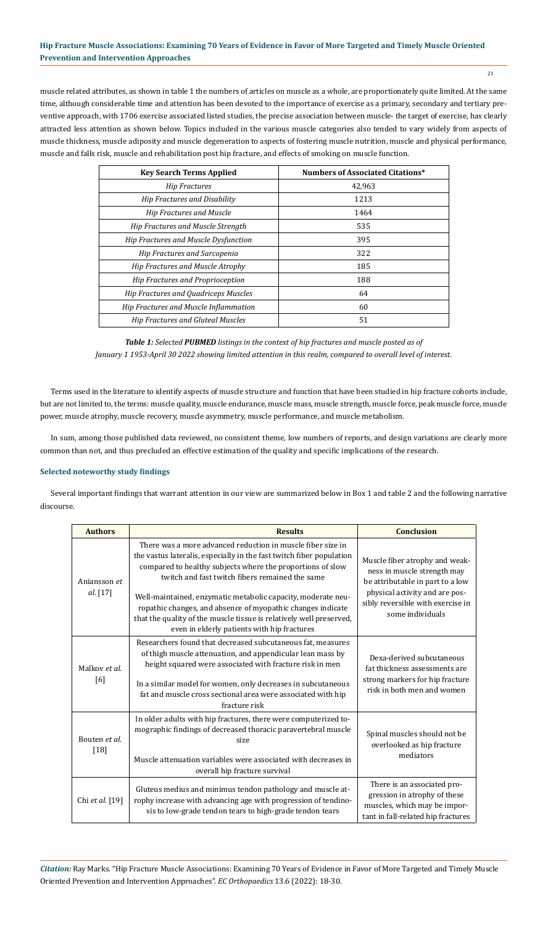muscle related attributes, as shown in table 1 the numbers of articles on muscle as a whole, are proportionately quite limited. At the same time, although considerable time and attention has been devoted to the importance of exercise as a primary, secondary and tertiary preventive approach, with 1706 exercise associated listed studies, the precise association between muscle- the target of exercise, has clearly attracted less attention as shown below. Topics included in the various muscle categories also tended to vary widely from aspects of muscle thickness, muscle adiposity and muscle degeneration to aspects of fostering muscle nutrition, muscle and physical performance, muscle and falls risk, muscle and rehabilitation post hip fracture, and effects of smoking on muscle function.

| <b>Key Search Terms Applied</b>             | <b>Numbers of Associated Citations*</b> |
|---------------------------------------------|-----------------------------------------|
| <b>Hip Fractures</b>                        | 42.963                                  |
| <b>Hip Fractures and Disability</b>         | 1213                                    |
| <b>Hip Fractures and Muscle</b>             | 1464                                    |
| Hip Fractures and Muscle Strength           | 535                                     |
| Hip Fractures and Muscle Dysfunction        | 395                                     |
| Hip Fractures and Sarcopenia                | 322                                     |
| Hip Fractures and Muscle Atrophy            | 185                                     |
| Hip Fractures and Proprioception            | 188                                     |
| <b>Hip Fractures and Quadriceps Muscles</b> | 64                                      |
| Hip Fractures and Muscle Inflammation       | 60                                      |
| <b>Hip Fractures and Gluteal Muscles</b>    | 51                                      |

*Table 1: Selected PUBMED listings in the context of hip fractures and muscle posted as of January 1 1953-April 30 2022 showing limited attention in this realm, compared to overall level of interest.*

Terms used in the literature to identify aspects of muscle structure and function that have been studied in hip fracture cohorts include, but are not limited to, the terms: muscle quality, muscle endurance, muscle mass, muscle strength, muscle force, peak muscle force, muscle power, muscle atrophy, muscle recovery, muscle asymmetry, muscle performance, and muscle metabolism.

In sum, among those published data reviewed, no consistent theme, low numbers of reports, and design variations are clearly more common than not, and thus precluded an effective estimation of the quality and specific implications of the research.

# **Selected noteworthy study findings**

Several important findings that warrant attention in our view are summarized below in Box 1 and table 2 and the following narrative discourse.

| <b>Authors</b>           | <b>Results</b>                                                                                                                                                                                                                                                                                                                                                                                                                                                                                            | <b>Conclusion</b>                                                                                                                                                                            |
|--------------------------|-----------------------------------------------------------------------------------------------------------------------------------------------------------------------------------------------------------------------------------------------------------------------------------------------------------------------------------------------------------------------------------------------------------------------------------------------------------------------------------------------------------|----------------------------------------------------------------------------------------------------------------------------------------------------------------------------------------------|
| Aniansson et<br>al. [17] | There was a more advanced reduction in muscle fiber size in<br>the vastus lateralis, especially in the fast twitch fiber population<br>compared to healthy subjects where the proportions of slow<br>twitch and fast twitch fibers remained the same<br>Well-maintained, enzymatic metabolic capacity, moderate neu-<br>ropathic changes, and absence of myopathic changes indicate<br>that the quality of the muscle tissue is relatively well preserved,<br>even in elderly patients with hip fractures | Muscle fiber atrophy and weak-<br>ness in muscle strength may<br>be attributable in part to a low<br>physical activity and are pos-<br>sibly reversible with exercise in<br>some individuals |
| Malkov et al.<br>[6]     | Researchers found that decreased subcutaneous fat, measures<br>of thigh muscle attenuation, and appendicular lean mass by<br>height squared were associated with fracture risk in men<br>In a similar model for women, only decreases in subcutaneous<br>fat and muscle cross sectional area were associated with hip<br>fracture risk                                                                                                                                                                    | Dexa-derived subcutaneous<br>fat thickness assessments are<br>strong markers for hip fracture<br>risk in both men and women                                                                  |
| Bouten et al.<br>$[18]$  | In older adults with hip fractures, there were computerized to-<br>mographic findings of decreased thoracic paravertebral muscle<br>size<br>Muscle attenuation variables were associated with decreases in<br>overall hip fracture survival                                                                                                                                                                                                                                                               | Spinal muscles should not be<br>overlooked as hip fracture<br>mediators                                                                                                                      |
| Chi et al. [19]          | Gluteus medius and minimus tendon pathology and muscle at-<br>rophy increase with advancing age with progression of tendino-<br>sis to low-grade tendon tears to high-grade tendon tears                                                                                                                                                                                                                                                                                                                  | There is an associated pro-<br>gression in atrophy of these<br>muscles, which may be impor-<br>tant in fall-related hip fractures                                                            |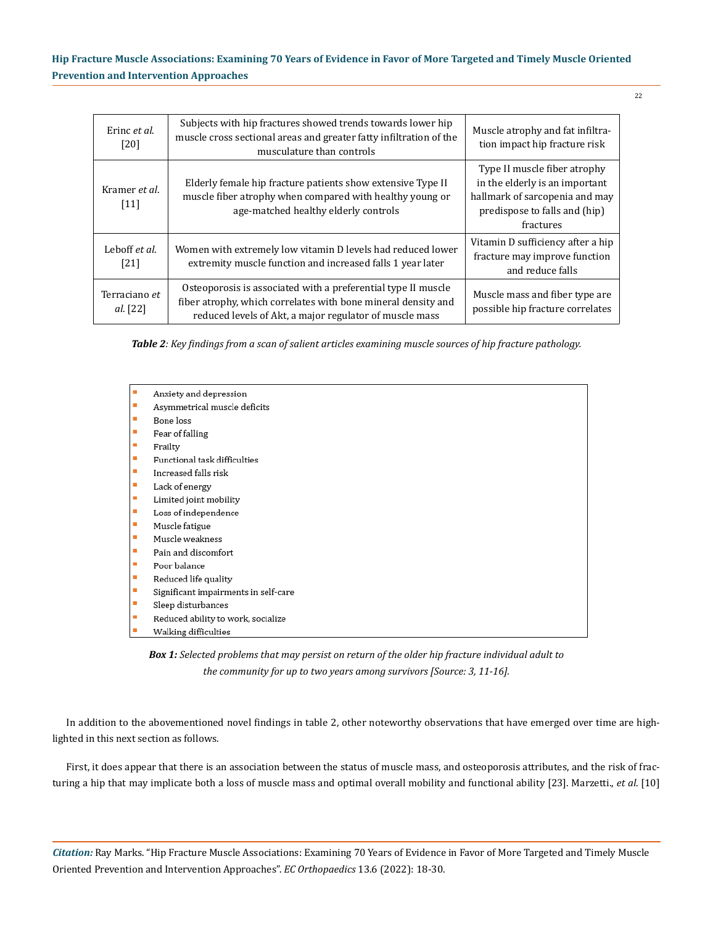| Erinc et al.<br>[20]      | Subjects with hip fractures showed trends towards lower hip<br>muscle cross sectional areas and greater fatty infiltration of the<br>musculature than controls                            | Muscle atrophy and fat infiltra-<br>tion impact hip fracture risk                                                                              |
|---------------------------|-------------------------------------------------------------------------------------------------------------------------------------------------------------------------------------------|------------------------------------------------------------------------------------------------------------------------------------------------|
| Kramer et al.<br>$[11]$   | Elderly female hip fracture patients show extensive Type II<br>muscle fiber atrophy when compared with healthy young or<br>age-matched healthy elderly controls                           | Type II muscle fiber atrophy<br>in the elderly is an important<br>hallmark of sarcopenia and may<br>predispose to falls and (hip)<br>fractures |
| Leboff et al.<br>[21]     | Women with extremely low vitamin D levels had reduced lower<br>extremity muscle function and increased falls 1 year later                                                                 | Vitamin D sufficiency after a hip<br>fracture may improve function<br>and reduce falls                                                         |
| Terraciano et<br>al. [22] | Osteoporosis is associated with a preferential type II muscle<br>fiber atrophy, which correlates with bone mineral density and<br>reduced levels of Akt, a major regulator of muscle mass | Muscle mass and fiber type are<br>possible hip fracture correlates                                                                             |

*Table 2: Key findings from a scan of salient articles examining muscle sources of hip fracture pathology.*

|   | Anxiety and depression               |
|---|--------------------------------------|
|   | Asymmetrical muscle deficits         |
| ш | Bone loss                            |
| ш | Fear of falling                      |
| п | Frailty                              |
| ▬ | Functional task difficulties         |
| ▬ | Increased falls risk                 |
| ш | Lack of energy                       |
| ш | Limited joint mobility               |
| п | Loss of independence                 |
| ▬ | Muscle fatigue                       |
| ▬ | Muscle weakness                      |
| ■ | Pain and discomfort                  |
| ▬ | Poor balance                         |
| ш | Reduced life quality                 |
| ▬ | Significant impairments in self-care |
| ▬ | Sleep disturbances                   |
| п | Reduced ability to work, socialize   |
|   | Walking difficulties                 |
|   |                                      |

*Box 1: Selected problems that may persist on return of the older hip fracture individual adult to the community for up to two years among survivors [Source: 3, 11-16].*

In addition to the abovementioned novel findings in table 2, other noteworthy observations that have emerged over time are highlighted in this next section as follows.

First, it does appear that there is an association between the status of muscle mass, and osteoporosis attributes, and the risk of fracturing a hip that may implicate both a loss of muscle mass and optimal overall mobility and functional ability [23]. Marzetti., *et al*. [10]

*Citation:* Ray Marks. "Hip Fracture Muscle Associations: Examining 70 Years of Evidence in Favor of More Targeted and Timely Muscle Oriented Prevention and Intervention Approaches". *EC Orthopaedics* 13.6 (2022): 18-30.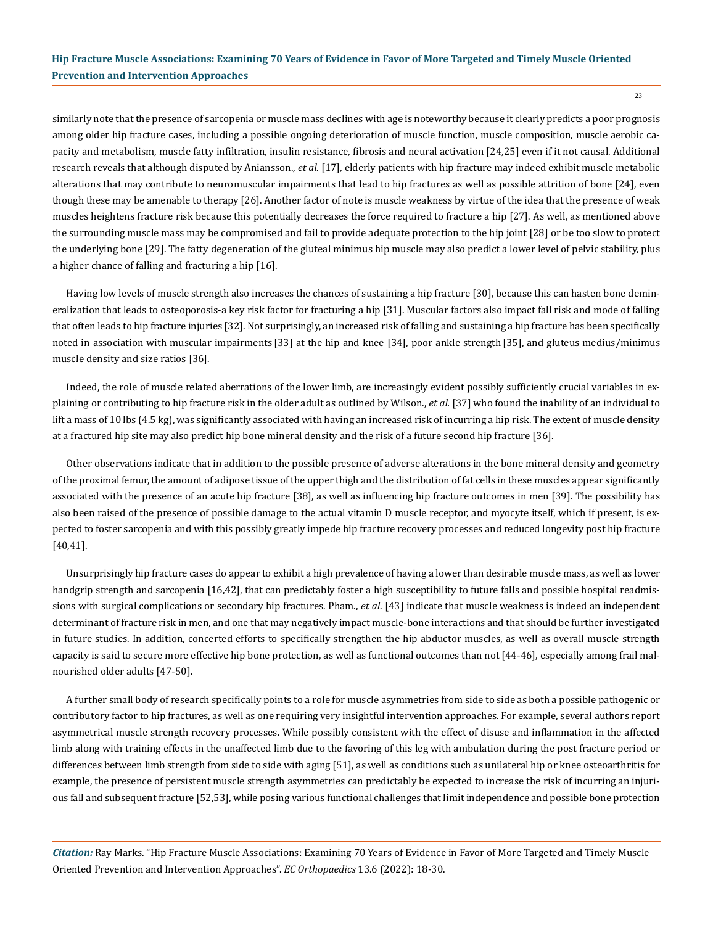similarly note that the presence of sarcopenia or muscle mass declines with age is noteworthy because it clearly predicts a poor prognosis among older hip fracture cases, including a possible ongoing deterioration of muscle function, muscle composition, muscle aerobic capacity and metabolism, muscle fatty infiltration, insulin resistance, fibrosis and neural activation [24,25] even if it not causal. Additional research reveals that although disputed by Aniansson., *et al*. [17], elderly patients with hip fracture may indeed exhibit muscle metabolic alterations that may contribute to neuromuscular impairments that lead to hip fractures as well as possible attrition of bone [24], even though these may be amenable to therapy [26]. Another factor of note is muscle weakness by virtue of the idea that the presence of weak muscles heightens fracture risk because this potentially decreases the force required to fracture a hip [27]. As well, as mentioned above the surrounding muscle mass may be compromised and fail to provide adequate protection to the hip joint [28] or be too slow to protect the underlying bone [29]. The fatty degeneration of the gluteal minimus hip muscle may also predict a lower level of pelvic stability, plus a higher chance of falling and fracturing a hip [16].

Having low levels of muscle strength also increases the chances of sustaining a hip fracture [30], because this can hasten bone demineralization that leads to osteoporosis-a key risk factor for fracturing a hip [31]. Muscular factors also impact fall risk and mode of falling that often leads to hip fracture injuries [32]. Not surprisingly, an increased risk of falling and sustaining a hip fracture has been specifically noted in association with muscular impairments [33] at the hip and knee [34], poor ankle strength [35], and gluteus medius/minimus muscle density and size ratios [36].

Indeed, the role of muscle related aberrations of the lower limb, are increasingly evident possibly sufficiently crucial variables in explaining or contributing to hip fracture risk in the older adult as outlined by Wilson., *et al.* [37] who found the inability of an individual to lift a mass of 10 lbs (4.5 kg), was significantly associated with having an increased risk of incurring a hip risk. The extent of muscle density at a fractured hip site may also predict hip bone mineral density and the risk of a future second hip fracture [36].

Other observations indicate that in addition to the possible presence of adverse alterations in the bone mineral density and geometry of the proximal femur, the amount of adipose tissue of the upper thigh and the distribution of fat cells in these muscles appear significantly associated with the presence of an acute hip fracture [38], as well as influencing hip fracture outcomes in men [39]. The possibility has also been raised of the presence of possible damage to the actual vitamin D muscle receptor, and myocyte itself, which if present, is expected to foster sarcopenia and with this possibly greatly impede hip fracture recovery processes and reduced longevity post hip fracture [40,41].

Unsurprisingly hip fracture cases do appear to exhibit a high prevalence of having a lower than desirable muscle mass, as well as lower handgrip strength and sarcopenia [16,42], that can predictably foster a high susceptibility to future falls and possible hospital readmissions with surgical complications or secondary hip fractures. Pham., *et al*. [43] indicate that muscle weakness is indeed an independent determinant of fracture risk in men, and one that may negatively impact muscle-bone interactions and that should be further investigated in future studies. In addition, concerted efforts to specifically strengthen the hip abductor muscles, as well as overall muscle strength capacity is said to secure more effective hip bone protection, as well as functional outcomes than not [44-46], especially among frail malnourished older adults [47-50].

A further small body of research specifically points to a role for muscle asymmetries from side to side as both a possible pathogenic or contributory factor to hip fractures, as well as one requiring very insightful intervention approaches. For example, several authors report asymmetrical muscle strength recovery processes. While possibly consistent with the effect of disuse and inflammation in the affected limb along with training effects in the unaffected limb due to the favoring of this leg with ambulation during the post fracture period or differences between limb strength from side to side with aging [51], as well as conditions such as unilateral hip or knee osteoarthritis for example, the presence of persistent muscle strength asymmetries can predictably be expected to increase the risk of incurring an injurious fall and subsequent fracture [52,53], while posing various functional challenges that limit independence and possible bone protection

*Citation:* Ray Marks. "Hip Fracture Muscle Associations: Examining 70 Years of Evidence in Favor of More Targeted and Timely Muscle Oriented Prevention and Intervention Approaches". *EC Orthopaedics* 13.6 (2022): 18-30.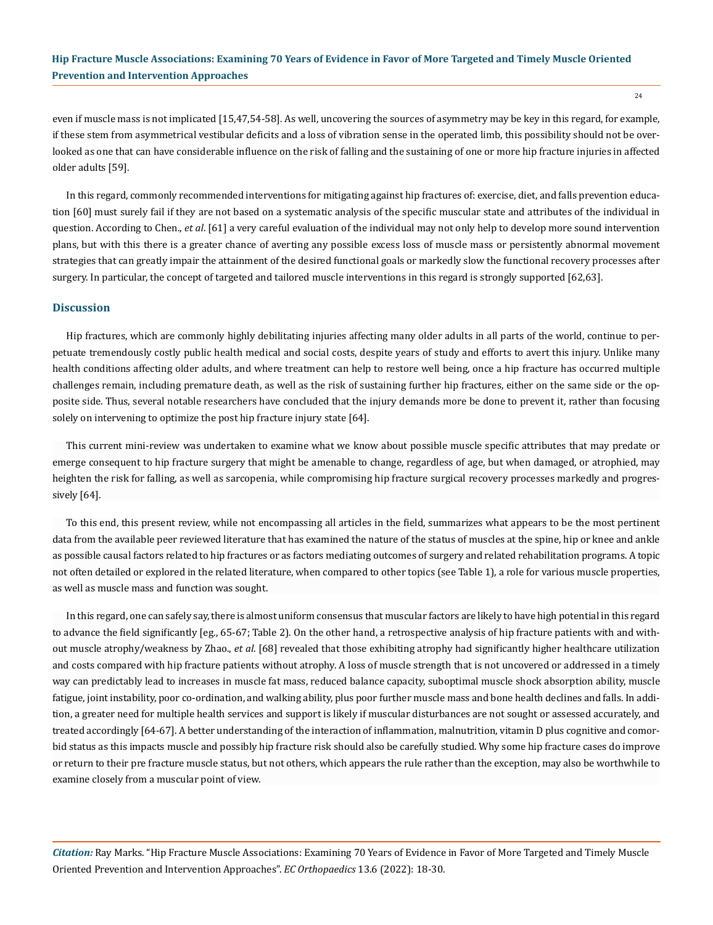even if muscle mass is not implicated [15,47,54-58]. As well, uncovering the sources of asymmetry may be key in this regard, for example, if these stem from asymmetrical vestibular deficits and a loss of vibration sense in the operated limb, this possibility should not be overlooked as one that can have considerable influence on the risk of falling and the sustaining of one or more hip fracture injuries in affected older adults [59].

In this regard, commonly recommended interventions for mitigating against hip fractures of: exercise, diet, and falls prevention education [60] must surely fail if they are not based on a systematic analysis of the specific muscular state and attributes of the individual in question. According to Chen., *et al*. [61] a very careful evaluation of the individual may not only help to develop more sound intervention plans, but with this there is a greater chance of averting any possible excess loss of muscle mass or persistently abnormal movement strategies that can greatly impair the attainment of the desired functional goals or markedly slow the functional recovery processes after surgery. In particular, the concept of targeted and tailored muscle interventions in this regard is strongly supported [62,63].

#### **Discussion**

Hip fractures, which are commonly highly debilitating injuries affecting many older adults in all parts of the world, continue to perpetuate tremendously costly public health medical and social costs, despite years of study and efforts to avert this injury. Unlike many health conditions affecting older adults, and where treatment can help to restore well being, once a hip fracture has occurred multiple challenges remain, including premature death, as well as the risk of sustaining further hip fractures, either on the same side or the opposite side. Thus, several notable researchers have concluded that the injury demands more be done to prevent it, rather than focusing solely on intervening to optimize the post hip fracture injury state [64].

This current mini-review was undertaken to examine what we know about possible muscle specific attributes that may predate or emerge consequent to hip fracture surgery that might be amenable to change, regardless of age, but when damaged, or atrophied, may heighten the risk for falling, as well as sarcopenia, while compromising hip fracture surgical recovery processes markedly and progressively [64].

To this end, this present review, while not encompassing all articles in the field, summarizes what appears to be the most pertinent data from the available peer reviewed literature that has examined the nature of the status of muscles at the spine, hip or knee and ankle as possible causal factors related to hip fractures or as factors mediating outcomes of surgery and related rehabilitation programs. A topic not often detailed or explored in the related literature, when compared to other topics (see Table 1), a role for various muscle properties, as well as muscle mass and function was sought.

In this regard, one can safely say, there is almost uniform consensus that muscular factors are likely to have high potential in this regard to advance the field significantly [eg., 65-67; Table 2). On the other hand, a retrospective analysis of hip fracture patients with and without muscle atrophy/weakness by Zhao., *et al*. [68] revealed that those exhibiting atrophy had significantly higher healthcare utilization and costs compared with hip fracture patients without atrophy. A loss of muscle strength that is not uncovered or addressed in a timely way can predictably lead to increases in muscle fat mass, reduced balance capacity, suboptimal muscle shock absorption ability, muscle fatigue, joint instability, poor co-ordination, and walking ability, plus poor further muscle mass and bone health declines and falls. In addition, a greater need for multiple health services and support is likely if muscular disturbances are not sought or assessed accurately, and treated accordingly [64-67]. A better understanding of the interaction of inflammation, malnutrition, vitamin D plus cognitive and comorbid status as this impacts muscle and possibly hip fracture risk should also be carefully studied. Why some hip fracture cases do improve or return to their pre fracture muscle status, but not others, which appears the rule rather than the exception, may also be worthwhile to examine closely from a muscular point of view.

*Citation:* Ray Marks. "Hip Fracture Muscle Associations: Examining 70 Years of Evidence in Favor of More Targeted and Timely Muscle Oriented Prevention and Intervention Approaches". *EC Orthopaedics* 13.6 (2022): 18-30.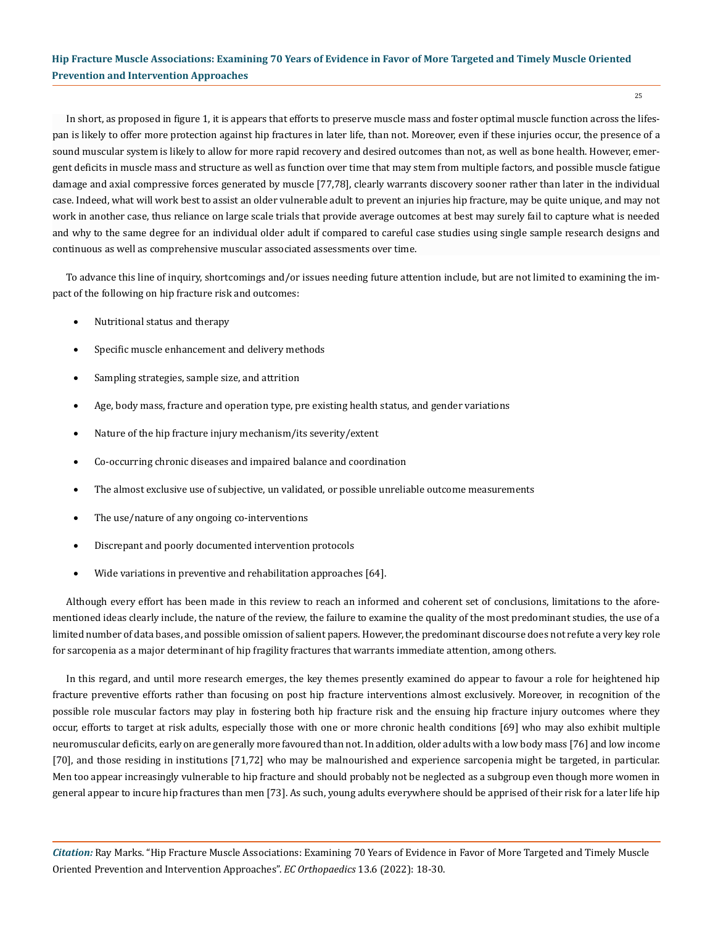In short, as proposed in figure 1, it is appears that efforts to preserve muscle mass and foster optimal muscle function across the lifespan is likely to offer more protection against hip fractures in later life, than not. Moreover, even if these injuries occur, the presence of a sound muscular system is likely to allow for more rapid recovery and desired outcomes than not, as well as bone health. However, emergent deficits in muscle mass and structure as well as function over time that may stem from multiple factors, and possible muscle fatigue damage and axial compressive forces generated by muscle [77,78], clearly warrants discovery sooner rather than later in the individual case. Indeed, what will work best to assist an older vulnerable adult to prevent an injuries hip fracture, may be quite unique, and may not work in another case, thus reliance on large scale trials that provide average outcomes at best may surely fail to capture what is needed and why to the same degree for an individual older adult if compared to careful case studies using single sample research designs and continuous as well as comprehensive muscular associated assessments over time.

To advance this line of inquiry, shortcomings and/or issues needing future attention include, but are not limited to examining the impact of the following on hip fracture risk and outcomes:

- Nutritional status and therapy
- Specific muscle enhancement and delivery methods
- Sampling strategies, sample size, and attrition
- Age, body mass, fracture and operation type, pre existing health status, and gender variations
- Nature of the hip fracture injury mechanism/its severity/extent
- Co-occurring chronic diseases and impaired balance and coordination
- The almost exclusive use of subjective, un validated, or possible unreliable outcome measurements
- The use/nature of any ongoing co-interventions
- Discrepant and poorly documented intervention protocols
- Wide variations in preventive and rehabilitation approaches [64].

Although every effort has been made in this review to reach an informed and coherent set of conclusions, limitations to the aforementioned ideas clearly include, the nature of the review, the failure to examine the quality of the most predominant studies, the use of a limited number of data bases, and possible omission of salient papers. However, the predominant discourse does not refute a very key role for sarcopenia as a major determinant of hip fragility fractures that warrants immediate attention, among others.

In this regard, and until more research emerges, the key themes presently examined do appear to favour a role for heightened hip fracture preventive efforts rather than focusing on post hip fracture interventions almost exclusively. Moreover, in recognition of the possible role muscular factors may play in fostering both hip fracture risk and the ensuing hip fracture injury outcomes where they occur, efforts to target at risk adults, especially those with one or more chronic health conditions [69] who may also exhibit multiple neuromuscular deficits, early on are generally more favoured than not. In addition, older adults with a low body mass [76] and low income [70], and those residing in institutions [71,72] who may be malnourished and experience sarcopenia might be targeted, in particular. Men too appear increasingly vulnerable to hip fracture and should probably not be neglected as a subgroup even though more women in general appear to incure hip fractures than men [73]. As such, young adults everywhere should be apprised of their risk for a later life hip

*Citation:* Ray Marks. "Hip Fracture Muscle Associations: Examining 70 Years of Evidence in Favor of More Targeted and Timely Muscle Oriented Prevention and Intervention Approaches". *EC Orthopaedics* 13.6 (2022): 18-30.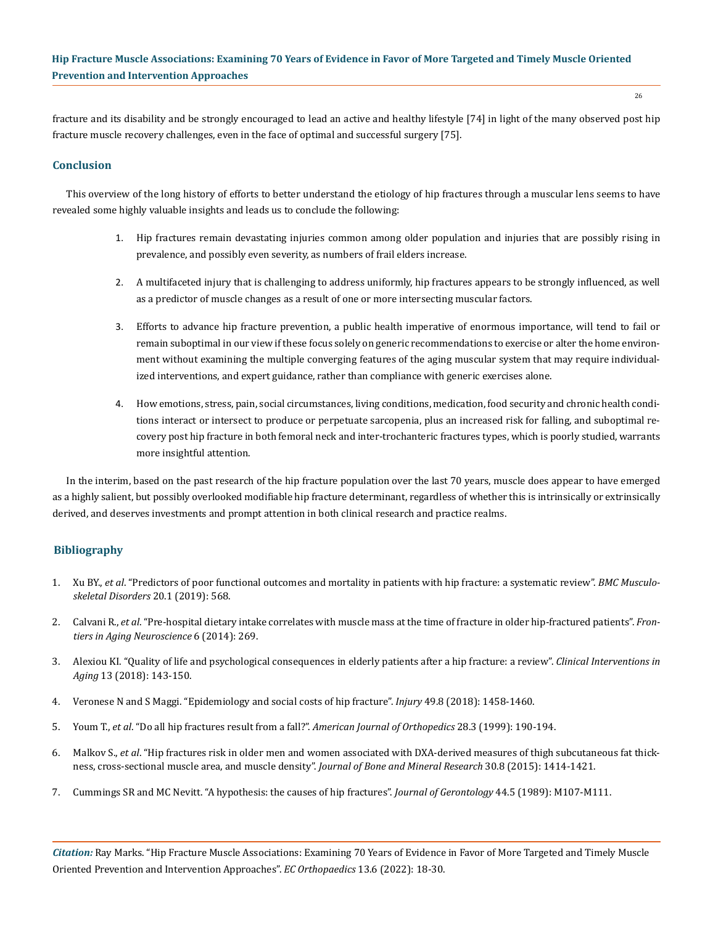fracture and its disability and be strongly encouraged to lead an active and healthy lifestyle [74] in light of the many observed post hip fracture muscle recovery challenges, even in the face of optimal and successful surgery [75].

#### **Conclusion**

This overview of the long history of efforts to better understand the etiology of hip fractures through a muscular lens seems to have revealed some highly valuable insights and leads us to conclude the following:

- 1. Hip fractures remain devastating injuries common among older population and injuries that are possibly rising in prevalence, and possibly even severity, as numbers of frail elders increase.
- 2. A multifaceted injury that is challenging to address uniformly, hip fractures appears to be strongly influenced, as well as a predictor of muscle changes as a result of one or more intersecting muscular factors.
- 3. Efforts to advance hip fracture prevention, a public health imperative of enormous importance, will tend to fail or remain suboptimal in our view if these focus solely on generic recommendations to exercise or alter the home environment without examining the multiple converging features of the aging muscular system that may require individualized interventions, and expert guidance, rather than compliance with generic exercises alone.
- 4. How emotions, stress, pain, social circumstances, living conditions, medication, food security and chronic health conditions interact or intersect to produce or perpetuate sarcopenia, plus an increased risk for falling, and suboptimal recovery post hip fracture in both femoral neck and inter-trochanteric fractures types, which is poorly studied, warrants more insightful attention.

In the interim, based on the past research of the hip fracture population over the last 70 years, muscle does appear to have emerged as a highly salient, but possibly overlooked modifiable hip fracture determinant, regardless of whether this is intrinsically or extrinsically derived, and deserves investments and prompt attention in both clinical research and practice realms.

# **Bibliography**

- 1. Xu BY., *et al*[. "Predictors of poor functional outcomes and mortality in patients with hip fracture: a systematic review".](https://pubmed.ncbi.nlm.nih.gov/31775693/) *BMC Musculo[skeletal Disorders](https://pubmed.ncbi.nlm.nih.gov/31775693/)* 20.1 (2019): 568.
- 2. Calvani R., *et al*[. "Pre-hospital dietary intake correlates with muscle mass at the time of fracture in older hip-fractured patients".](https://pubmed.ncbi.nlm.nih.gov/25477815/) *Fron[tiers in Aging Neuroscience](https://pubmed.ncbi.nlm.nih.gov/25477815/)* 6 (2014): 269.
- 3. [Alexiou KI. "Quality of life and psychological consequences in elderly patients after a hip fracture: a review".](https://pubmed.ncbi.nlm.nih.gov/29416322/) *Clinical Interventions in Aging* [13 \(2018\): 143-150.](https://pubmed.ncbi.nlm.nih.gov/29416322/)
- 4. [Veronese N and S Maggi. "Epidemiology and social costs of hip fracture".](https://pubmed.ncbi.nlm.nih.gov/29699731/) *Injury* 49.8 (2018): 1458-1460.
- 5. Youm T., *et al*[. "Do all hip fractures result from a fall?".](https://pubmed.ncbi.nlm.nih.gov/10195844/) *American Journal of Orthopedics* 28.3 (1999): 190-194.
- 6. Malkov S., *et al*[. "Hip fractures risk in older men and women associated with DXA-derived measures of thigh subcutaneous fat thick](https://pubmed.ncbi.nlm.nih.gov/25644748/)[ness, cross-sectional muscle area, and muscle density".](https://pubmed.ncbi.nlm.nih.gov/25644748/) *Journal of Bone and Mineral Research* 30.8 (2015): 1414-1421.
- 7. [Cummings SR and MC Nevitt. "A hypothesis: the causes of hip fractures".](https://academic.oup.com/geronj/article-pdf/44/4/M107/1657606/44-4-M107.pdf) *Journal of Gerontology* 44.5 (1989): M107-M111.

*Citation:* Ray Marks. "Hip Fracture Muscle Associations: Examining 70 Years of Evidence in Favor of More Targeted and Timely Muscle Oriented Prevention and Intervention Approaches". *EC Orthopaedics* 13.6 (2022): 18-30.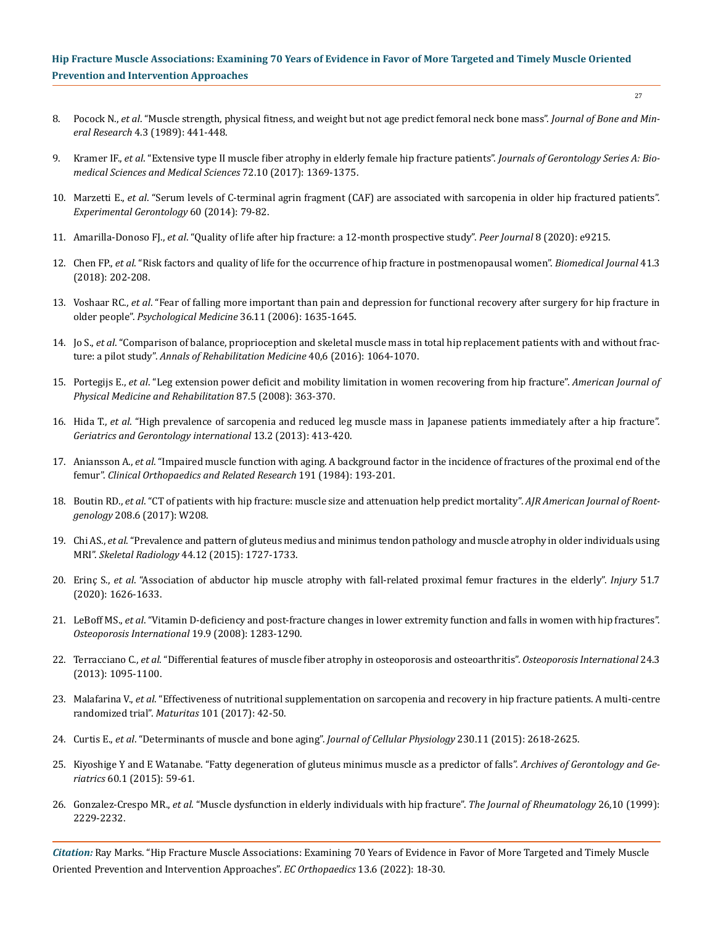- 27
- 8. Pocock N., *et al*[. "Muscle strength, physical fitness, and weight but not age predict femoral neck bone mass".](https://pubmed.ncbi.nlm.nih.gov/2763880/) *Journal of Bone and Mineral Research* [4.3 \(1989\): 441-448.](https://pubmed.ncbi.nlm.nih.gov/2763880/)
- 9. Kramer IF., *et al*[. "Extensive type II muscle fiber atrophy in elderly female hip fracture patients".](https://pubmed.ncbi.nlm.nih.gov/28329045/) *Journals of Gerontology Series A: Bio[medical Sciences and Medical Sciences](https://pubmed.ncbi.nlm.nih.gov/28329045/)* 72.10 (2017): 1369-1375.
- 10. Marzetti E., *et al*[. "Serum levels of C-terminal agrin fragment \(CAF\) are associated with sarcopenia in older hip fractured patients".](https://pubmed.ncbi.nlm.nih.gov/25304331/)  *[Experimental Gerontology](https://pubmed.ncbi.nlm.nih.gov/25304331/)* 60 (2014): 79-82.
- 11. Amarilla-Donoso FJ., *et al*[. "Quality of life after hip fracture: a 12-month prospective study".](https://pubmed.ncbi.nlm.nih.gov/32587793/) *Peer Journal* 8 (2020): e9215.
- 12. Chen FP., *et al*[. "Risk factors and quality of life for the occurrence of hip fracture in postmenopausal women".](https://pubmed.ncbi.nlm.nih.gov/30080660/) *Biomedical Journal* 41.3 [\(2018\): 202-208.](https://pubmed.ncbi.nlm.nih.gov/30080660/)
- 13. Voshaar RC., *et al*[. "Fear of falling more important than pain and depression for functional recovery after surgery for hip fracture in](file:///F:/Not%20Uploaded/ECOR/ECOR-22-MRW-141/Fear%20of%20falling%20more%20important%20than%20pain%20and%20depression%20for%20functional%20recovery%20after%20surgery%20for%20hip%20fracture%20in%20older%20people)  older people". *[Psychological Medicine](file:///F:/Not%20Uploaded/ECOR/ECOR-22-MRW-141/Fear%20of%20falling%20more%20important%20than%20pain%20and%20depression%20for%20functional%20recovery%20after%20surgery%20for%20hip%20fracture%20in%20older%20people)* 36.11 (2006): 1635-1645.
- 14. Jo S., *et al*[. "Comparison of balance, proprioception and skeletal muscle mass in total hip replacement patients with and without frac](https://www.ncbi.nlm.nih.gov/pmc/articles/PMC5256335/)ture: a pilot study". *[Annals of Rehabilitation Medicine](https://www.ncbi.nlm.nih.gov/pmc/articles/PMC5256335/)* 40,6 (2016): 1064-1070.
- 15. Portegijs E., *et al*[. "Leg extension power deficit and mobility limitation in women recovering from hip fracture".](https://pubmed.ncbi.nlm.nih.gov/18303470/) *American Journal of [Physical Medicine and Rehabilitation](https://pubmed.ncbi.nlm.nih.gov/18303470/)* 87.5 (2008): 363-370.
- 16. Hida T., *et al*[. "High prevalence of sarcopenia and reduced leg muscle mass in Japanese patients immediately after a hip fracture".](https://pubmed.ncbi.nlm.nih.gov/22816427/)  *[Geriatrics and Gerontology international](https://pubmed.ncbi.nlm.nih.gov/22816427/)* 13.2 (2013): 413-420.
- 17. Aniansson A., *et al*[. "Impaired muscle function with aging. A background factor in the incidence of fractures of the proximal end of the](https://pubmed.ncbi.nlm.nih.gov/6499311/)  femur". *[Clinical Orthopaedics and Related Research](https://pubmed.ncbi.nlm.nih.gov/6499311/)* 191 (1984): 193-201.
- 18. Boutin RD., *et al*[. "CT of patients with hip fracture: muscle size and attenuation help predict mortality".](https://pubmed.ncbi.nlm.nih.gov/28267356/) *AJR American Journal of Roentgenology* [208.6 \(2017\): W208.](https://pubmed.ncbi.nlm.nih.gov/28267356/)
- 19. Chi AS., *et al*[. "Prevalence and pattern of gluteus medius and minimus tendon pathology and muscle atrophy in older individuals using](https://link.springer.com/article/10.1007/s00256-015-2220-7)  MRI". *Skeletal Radiology* [44.12 \(2015\): 1727-1733.](https://link.springer.com/article/10.1007/s00256-015-2220-7)
- 20. Erinç S., *et al*[. "Association of abductor hip muscle atrophy with fall-related proximal femur fractures in the elderly".](https://pubmed.ncbi.nlm.nih.gov/32434716/) *Injury* 51.7 [\(2020\): 1626-1633.](https://pubmed.ncbi.nlm.nih.gov/32434716/)
- 21. LeBoff MS., *et al*[. "Vitamin D-deficiency and post-fracture changes in lower extremity function and falls in women with hip fractures".](https://pubmed.ncbi.nlm.nih.gov/18373057/)  *[Osteoporosis International](https://pubmed.ncbi.nlm.nih.gov/18373057/)* 19.9 (2008): 1283-1290.
- 22. Terracciano C., *et al*[. "Differential features of muscle fiber atrophy in osteoporosis and osteoarthritis".](https://pubmed.ncbi.nlm.nih.gov/22535191/) *Osteoporosis International* 24.3 [\(2013\): 1095-1100.](https://pubmed.ncbi.nlm.nih.gov/22535191/)
- 23. Malafarina V., *et al*[. "Effectiveness of nutritional supplementation on sarcopenia and recovery in hip fracture patients. A multi-centre](https://pubmed.ncbi.nlm.nih.gov/28539168/)  randomized trial". *Maturitas* [101 \(2017\): 42-50.](https://pubmed.ncbi.nlm.nih.gov/28539168/)
- 24. Curtis E., *et al*[. "Determinants of muscle and bone aging".](https://www.ncbi.nlm.nih.gov/pmc/articles/PMC4530476/) *Journal of Cellular Physiology* 230.11 (2015): 2618-2625.
- 25. [Kiyoshige Y and E Watanabe. "Fatty degeneration of gluteus minimus muscle as a predictor of falls".](https://pubmed.ncbi.nlm.nih.gov/25440137/) *Archives of Gerontology and Geriatrics* [60.1 \(2015\): 59-61.](https://pubmed.ncbi.nlm.nih.gov/25440137/)
- 26. Gonzalez-Crespo MR., *et al*[. "Muscle dysfunction in elderly individuals with hip fracture".](https://pubmed.ncbi.nlm.nih.gov/10529145/) *The Journal of Rheumatology* 26,10 (1999): [2229-2232.](https://pubmed.ncbi.nlm.nih.gov/10529145/)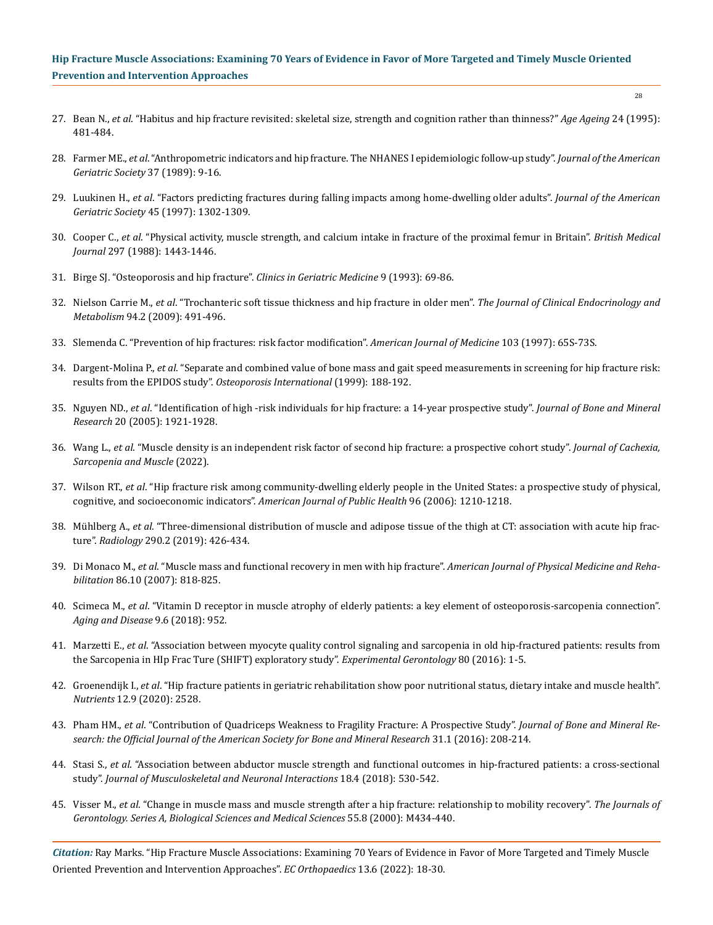- 28
- 27. Bean N., *et al*[. "Habitus and hip fracture revisited: skeletal size, strength and cognition rather than thinness?"](https://pubmed.ncbi.nlm.nih.gov/8588536/) *Age Ageing* 24 (1995): [481-484.](https://pubmed.ncbi.nlm.nih.gov/8588536/)
- 28. Farmer ME., *et al*[. "Anthropometric indicators and hip fracture. The NHANES I epidemiologic follow-up study".](https://pubmed.ncbi.nlm.nih.gov/2909610/) *Journal of the American [Geriatric Society](https://pubmed.ncbi.nlm.nih.gov/2909610/)* 37 (1989): 9-16.
- 29. Luukinen H., *et al*[. "Factors predicting fractures during falling impacts among home-dwelling older adults".](https://pubmed.ncbi.nlm.nih.gov/9361654/) *Journal of the American Geriatric Society* [45 \(1997\): 1302-1309.](https://pubmed.ncbi.nlm.nih.gov/9361654/)
- 30. Cooper C., *et al*[. "Physical activity, muscle strength, and calcium intake in fracture of the proximal femur in Britain".](https://pubmed.ncbi.nlm.nih.gov/3147008/) *British Medical Journal* [297 \(1988\): 1443-1446.](https://pubmed.ncbi.nlm.nih.gov/3147008/)
- 31. [Birge SJ. "Osteoporosis and hip fracture".](https://pubmed.ncbi.nlm.nih.gov/8443741/) *Clinics in Geriatric Medicine* 9 (1993): 69-86.
- 32. Nielson Carrie M., *et al*[. "Trochanteric soft tissue thickness and hip fracture in older men".](https://pubmed.ncbi.nlm.nih.gov/19017753/) *The Journal of Clinical Endocrinology and Metabolism* [94.2 \(2009\): 491-496.](https://pubmed.ncbi.nlm.nih.gov/19017753/)
- 33. [Slemenda C. "Prevention of hip fractures: risk factor modification".](https://pubmed.ncbi.nlm.nih.gov/9302898/) *American Journal of Medicine* 103 (1997): 65S-73S.
- 34. Dargent-Molina P., *et al*[. "Separate and combined value of bone mass and gait speed measurements in screening for hip fracture risk:](https://pubmed.ncbi.nlm.nih.gov/10367048/)  [results from the EPIDOS study".](https://pubmed.ncbi.nlm.nih.gov/10367048/) *Osteoporosis International* (1999): 188-192.
- 35. Nguyen ND., *et al*[. "Identification of high -risk individuals for hip fracture: a 14-year prospective study".](https://www.ncbi.nlm.nih.gov/pmc/articles/PMC2954961/) *Journal of Bone and Mineral Research* [20 \(2005\): 1921-1928.](https://www.ncbi.nlm.nih.gov/pmc/articles/PMC2954961/)
- 36. Wang L., *et al*[. "Muscle density is an independent risk factor of second hip fracture: a prospective cohort study".](https://pubmed.ncbi.nlm.nih.gov/35429146/) *Journal of Cachexia, [Sarcopenia and Muscle](https://pubmed.ncbi.nlm.nih.gov/35429146/)* (2022).
- 37. Wilson RT., *et al*[. "Hip fracture risk among community-dwelling elderly people in the United States: a prospective study of physical,](https://www.ncbi.nlm.nih.gov/pmc/articles/PMC1483878/)  [cognitive, and socioeconomic indicators".](https://www.ncbi.nlm.nih.gov/pmc/articles/PMC1483878/) *American Journal of Public Health* 96 (2006): 1210-1218.
- 38. Mühlberg A., *et al*[. "Three-dimensional distribution of muscle and adipose tissue of the thigh at CT: association with acute hip frac](https://pubmed.ncbi.nlm.nih.gov/30457478/)ture". *Radiology* [290.2 \(2019\): 426-434.](https://pubmed.ncbi.nlm.nih.gov/30457478/)
- 39. Di Monaco M., *et al*[. "Muscle mass and functional recovery in men with hip fracture".](https://pubmed.ncbi.nlm.nih.gov/17885314/) *American Journal of Physical Medicine and Rehabilitation* [86.10 \(2007\): 818-825.](https://pubmed.ncbi.nlm.nih.gov/17885314/)
- 40. Scimeca M., *et al*[. "Vitamin D receptor in muscle atrophy of elderly patients: a key element of osteoporosis-sarcopenia connection".](https://pubmed.ncbi.nlm.nih.gov/30574409/)  *[Aging and Disease](https://pubmed.ncbi.nlm.nih.gov/30574409/)* 9.6 (2018): 952.
- 41. Marzetti E., *et al*[. "Association between myocyte quality control signaling and sarcopenia in old hip-fractured patients: results from](https://pubmed.ncbi.nlm.nih.gov/27064052/)  [the Sarcopenia in HIp Frac Ture \(SHIFT\) exploratory study".](https://pubmed.ncbi.nlm.nih.gov/27064052/) *Experimental Gerontology* 80 (2016): 1-5.
- 42. Groenendijk I., *et al*[. "Hip fracture patients in geriatric rehabilitation show poor nutritional status, dietary intake and muscle health".](https://www.ncbi.nlm.nih.gov/pmc/articles/PMC7551784/)  *Nutrients* [12.9 \(2020\): 2528.](https://www.ncbi.nlm.nih.gov/pmc/articles/PMC7551784/)
- 43. Pham HM., *et al*[. "Contribution of Quadriceps Weakness to Fragility Fracture: A Prospective Study".](https://pubmed.ncbi.nlm.nih.gov/26174768/) *Journal of Bone and Mineral Re[search: the Official Journal of the American Society for Bone and Mineral Research](https://pubmed.ncbi.nlm.nih.gov/26174768/)* 31.1 (2016): 208-214.
- 44. Stasi S., *et al*[. "Association between abductor muscle strength and functional outcomes in hip-fractured patients: a cross-sectional](https://www.ncbi.nlm.nih.gov/pmc/articles/PMC6313036/)  study". *[Journal of Musculoskeletal and Neuronal Interactions](https://www.ncbi.nlm.nih.gov/pmc/articles/PMC6313036/)* 18.4 (2018): 530-542.
- 45. Visser M., *et al*[. "Change in muscle mass and muscle strength after a hip fracture: relationship to mobility recovery".](https://pubmed.ncbi.nlm.nih.gov/10952365/) *The Journals of [Gerontology. Series A, Biological Sciences and Medical Sciences](https://pubmed.ncbi.nlm.nih.gov/10952365/)* 55.8 (2000): M434-440.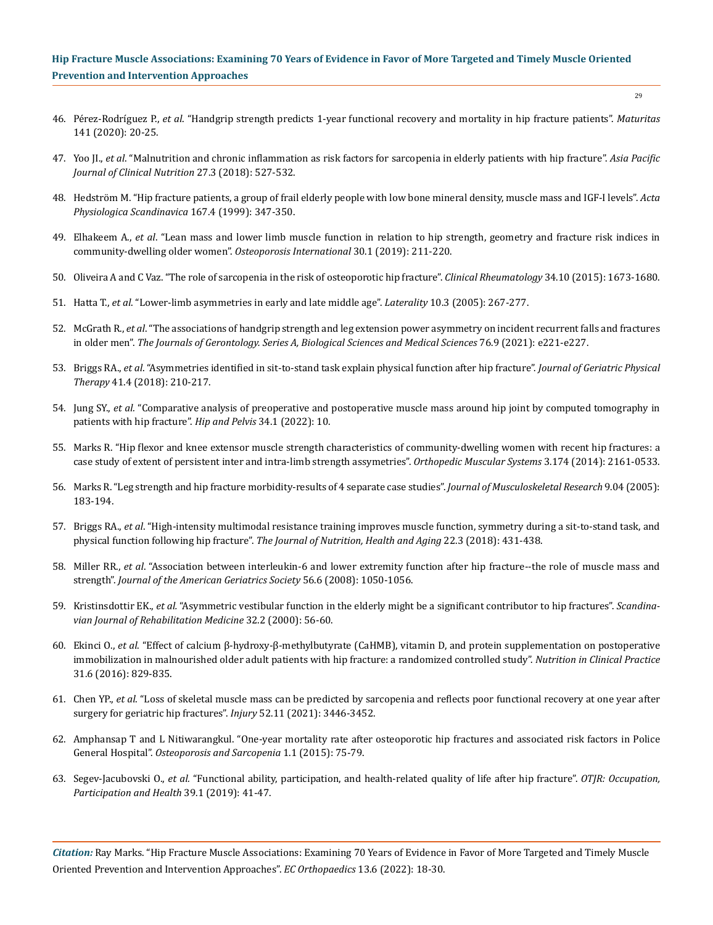29

- 46. Pérez-Rodríguez P., *et al*[. "Handgrip strength predicts 1-year functional recovery and mortality in hip fracture patients".](https://www.researchgate.net/publication/344306882_Handgrip_strength_predicts_1-year_functional_recovery_and_mortality_in_hip_fracture_patients) *Maturitas* [141 \(2020\): 20-25.](https://www.researchgate.net/publication/344306882_Handgrip_strength_predicts_1-year_functional_recovery_and_mortality_in_hip_fracture_patients)
- 47. Yoo JI., *et al*[. "Malnutrition and chronic inflammation as risk factors for sarcopenia in elderly patients with hip fracture".](https://pubmed.ncbi.nlm.nih.gov/29737798/) *Asia Pacific [Journal of Clinical Nutrition](https://pubmed.ncbi.nlm.nih.gov/29737798/)* 27.3 (2018): 527-532.
- 48. [Hedström M. "Hip fracture patients, a group of frail elderly people with low bone mineral density, muscle mass and IGF-I levels".](https://www.semanticscholar.org/paper/Hip-fracture-patients%2C-a-group-of-frail-elderly-low-Hedstr%C3%B6m/292561f801b4f9543d2f62fe70ff94b930d9baa2) *Acta [Physiologica Scandinavica](https://www.semanticscholar.org/paper/Hip-fracture-patients%2C-a-group-of-frail-elderly-low-Hedstr%C3%B6m/292561f801b4f9543d2f62fe70ff94b930d9baa2)* 167.4 (1999): 347-350.
- 49. Elhakeem A., *et al*[. "Lean mass and lower limb muscle function in relation to hip strength, geometry and fracture risk indices in](https://pubmed.ncbi.nlm.nih.gov/30552442/)  [community-dwelling older women".](https://pubmed.ncbi.nlm.nih.gov/30552442/) *Osteoporosis International* 30.1 (2019): 211-220.
- 50. [Oliveira A and C Vaz. "The role of sarcopenia in the risk of osteoporotic hip fracture".](https://pubmed.ncbi.nlm.nih.gov/25912213/) *Clinical Rheumatology* 34.10 (2015): 1673-1680.
- 51. Hatta T., *et al*[. "Lower-limb asymmetries in early and late middle age".](https://www.mdpi.com/2077-0383/11/2/360/pdf) *Laterality* 10.3 (2005): 267-277.
- 52. McGrath R., *et al*[. "The associations of handgrip strength and leg extension power asymmetry on incident recurrent falls and fractures](https://pubmed.ncbi.nlm.nih.gov/33978154/)  in older men". *[The Journals of Gerontology. Series A, Biological Sciences and Medical Sciences](https://pubmed.ncbi.nlm.nih.gov/33978154/)* 76.9 (2021): e221-e227.
- 53. Briggs RA., *et al*[. "Asymmetries identified in sit-to-stand task explain physical function after hip fracture".](https://pubmed.ncbi.nlm.nih.gov/28252470/) *Journal of Geriatric Physical Therapy* [41.4 \(2018\): 210-217.](https://pubmed.ncbi.nlm.nih.gov/28252470/)
- 54. Jung SY., *et al.* ["Comparative analysis of preoperative and postoperative muscle mass around hip joint by computed tomography in](https://pubmed.ncbi.nlm.nih.gov/35355628/)  [patients with hip fracture".](https://pubmed.ncbi.nlm.nih.gov/35355628/) *Hip and Pelvis* 34.1 (2022): 10.
- 55. [Marks R. "Hip flexor and knee extensor muscle strength characteristics of community-dwelling women with recent hip fractures: a](https://www.longdom.org/abstract/hip-flexor-and-knee-extensor-muscle-strength-characteristics-of-community-dwelling-women-with-recent-hip-fractures-a-cas-39484.html)  [case study of extent of persistent inter and intra-limb strength assymetries".](https://www.longdom.org/abstract/hip-flexor-and-knee-extensor-muscle-strength-characteristics-of-community-dwelling-women-with-recent-hip-fractures-a-cas-39484.html) *Orthopedic Muscular Systems* 3.174 (2014): 2161-0533.
- 56. [Marks R. "Leg strength and hip fracture morbidity-results of 4 separate case studies".](https://www.worldscientific.com/doi/10.1142/S0218957705001618) *Journal of Musculoskeletal Research* 9.04 (2005): [183-194.](https://www.worldscientific.com/doi/10.1142/S0218957705001618)
- 57. Briggs RA., *et al*[. "High-intensity multimodal resistance training improves muscle function, symmetry during a sit-to-stand task, and](https://pubmed.ncbi.nlm.nih.gov/29484358/)  physical function following hip fracture". *[The Journal of Nutrition, Health and Aging](https://pubmed.ncbi.nlm.nih.gov/29484358/)* 22.3 (2018): 431-438.
- 58. Miller RR., *et al*[. "Association between interleukin-6 and lower extremity function after hip fracture--the role of muscle mass and](https://pubmed.ncbi.nlm.nih.gov/18410321/)  strength". *[Journal of the American Geriatrics Society](https://pubmed.ncbi.nlm.nih.gov/18410321/)* 56.6 (2008): 1050-1056.
- 59. Kristinsdottir EK., *et al.* ["Asymmetric vestibular function in the elderly might be a significant contributor to hip fractures".](https://pubmed.ncbi.nlm.nih.gov/10853718/) *Scandina[vian Journal of Rehabilitation Medicine](https://pubmed.ncbi.nlm.nih.gov/10853718/)* 32.2 (2000): 56-60.
- 60. Ekinci O., *et al*[. "Effect of calcium β‐hydroxy‐β‐methylbutyrate \(CaHMB\), vitamin D, and protein supplementation on postoperative](https://pubmed.ncbi.nlm.nih.gov/26965178/)  [immobilization in malnourished older adult patients with hip fracture: a randomized controlled study".](https://pubmed.ncbi.nlm.nih.gov/26965178/) *Nutrition in Clinical Practice* [31.6 \(2016\): 829-835.](https://pubmed.ncbi.nlm.nih.gov/26965178/)
- 61. Chen YP., *et al*[. "Loss of skeletal muscle mass can be predicted by sarcopenia and reflects poor functional recovery at one year after](https://pubmed.ncbi.nlm.nih.gov/34404509/)  [surgery for geriatric hip fractures".](https://pubmed.ncbi.nlm.nih.gov/34404509/) *Injury* 52.11 (2021): 3446-3452.
- 62. [Amphansap T and L Nitiwarangkul. "One-year mortality rate after osteoporotic hip fractures and associated risk factors in Police](https://www.sciencedirect.com/science/article/pii/S2405525515000072)  General Hospital". *[Osteoporosis and Sarcopenia](https://www.sciencedirect.com/science/article/pii/S2405525515000072)* 1.1 (2015): 75-79.
- 63. Segev-Jacubovski O., *et al.* ["Functional ability, participation, and health-related quality of life after hip fracture".](https://pubmed.ncbi.nlm.nih.gov/30182798/) *OTJR: Occupation, [Participation and Health](https://pubmed.ncbi.nlm.nih.gov/30182798/)* 39.1 (2019): 41-47.